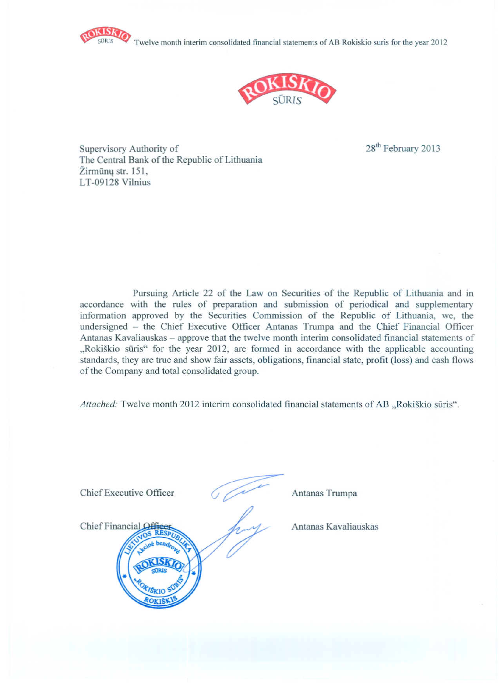Twelve month interim consolidated financial statements of AB Rokiskio suris for the year 2012





Supervisory Authority of The Central Bank of the Republic of Lithuania Žirmūnu str. 151. LT-09128 Vilnius

28<sup>th</sup> February 2013

Pursuing Article 22 of the Law on Securities of the Republic of Lithuania and in accordance with the rules of preparation and submission of periodical and supplementary information approved by the Securities Commission of the Republic of Lithuania, we, the undersigned - the Chief Executive Officer Antanas Trumpa and the Chief Financial Officer Antanas Kavaliauskas – approve that the twelve month interim consolidated financial statements of "Rokiškio sūris" for the year 2012, are formed in accordance with the applicable accounting standards, they are true and show fair assets, obligations, financial state, profit (loss) and cash flows of the Company and total consolidated group.

Attached: Twelve month 2012 interim consolidated financial statements of AB "Rokiškio sūris".

| Chief Executive Officer                              | Antanas Trumpa       |
|------------------------------------------------------|----------------------|
| Chief Financial Off<br><b>RESPLI</b><br><b>VSKIO</b> | Antanas Kavaliauskas |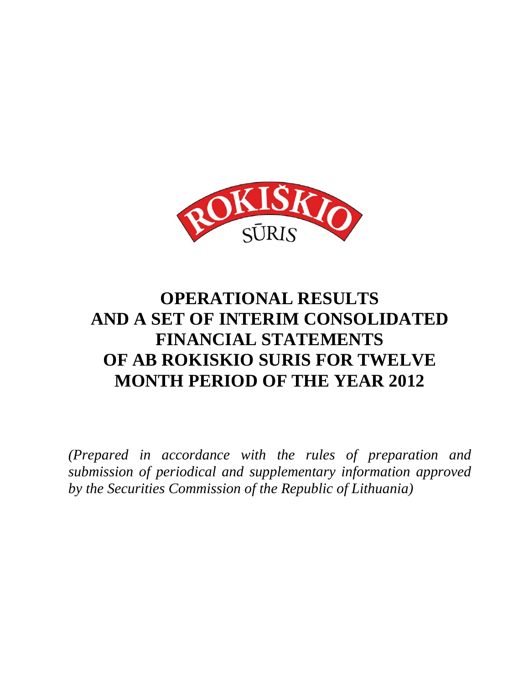

## **OPERATIONAL RESULTS AND A SET OF INTERIM CONSOLIDATED FINANCIAL STATEMENTS OF AB ROKISKIO SURIS FOR TWELVE MONTH PERIOD OF THE YEAR 2012**

*(Prepared in accordance with the rules of preparation and submission of periodical and supplementary information approved by the Securities Commission of the Republic of Lithuania)*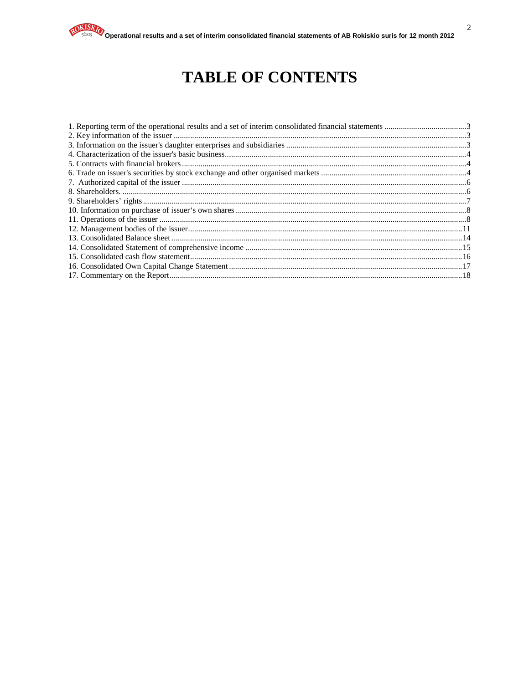## **TABLE OF CONTENTS**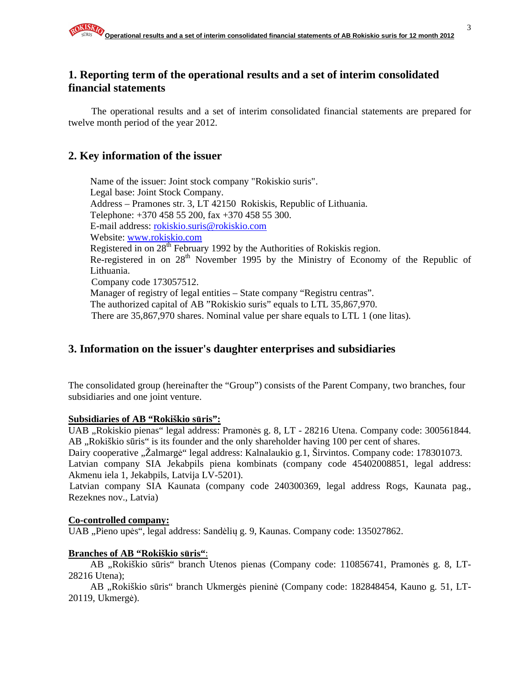#### **financial statements**

The operational results and a set of interim consolidated financial statements are prepared for twelve month period of the year 2012.

### **2. Key information of the issuer**

Name of the issuer: Joint stock company "Rokiskio suris". Legal base: Joint Stock Company. Address – Pramones str. 3, LT 42150 Rokiskis, Republic of Lithuania. Telephone: +370 458 55 200, fax +370 458 55 300. E-mail address: rokiskio.suris@rokiskio.com Website: www.rokiskio.com Registered in on 28<sup>th</sup> February 1992 by the Authorities of Rokiskis region. Re-registered in on  $28<sup>th</sup>$  November 1995 by the Ministry of Economy of the Republic of Lithuania. Company code 173057512. Manager of registry of legal entities – State company "Registru centras". The authorized capital of AB "Rokiskio suris" equals to LTL 35,867,970. There are 35,867,970 shares. Nominal value per share equals to LTL 1 (one litas).

## **3. Information on the issuer's daughter enterprises and subsidiaries**

The consolidated group (hereinafter the "Group") consists of the Parent Company, two branches, four subsidiaries and one joint venture.

#### **Subsidiaries of AB "Rokiškio s**ū**ris":**

UAB "Rokiskio pienas" legal address: Pramonės g. 8, LT - 28216 Utena. Company code: 300561844. AB , Rokiškio sūris" is its founder and the only shareholder having 100 per cent of shares.

Dairy cooperative "Žalmargė" legal address: Kalnalaukio g.1, Širvintos. Company code: 178301073. Latvian company SIA Jekabpils piena kombinats (company code 45402008851, legal address: Akmenu iela 1, Jekabpils, Latvija LV-5201).

Latvian company SIA Kaunata (company code 240300369, legal address Rogs, Kaunata pag., Rezeknes nov., Latvia)

#### **Co-controlled company:**

UAB "Pieno upės", legal address: Sandėlių g. 9, Kaunas. Company code: 135027862.

#### **Branches of AB "Rokiškio s**ū**ris"**:

AB "Rokiškio sūris" branch Utenos pienas (Company code: 110856741, Pramonės g. 8, LT-28216 Utena);

AB "Rokiškio sūris" branch Ukmergės pieninė (Company code: 182848454, Kauno g. 51, LT-20119, Ukmergė).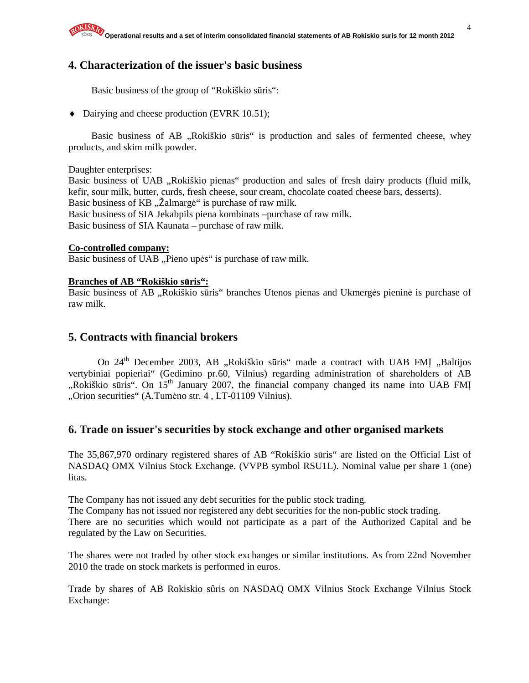## **4. Characterization of the issuer's basic business**

Basic business of the group of "Rokiškio sūris":

♦ Dairying and cheese production (EVRK 10.51);

Basic business of AB "Rokiškio sūris" is production and sales of fermented cheese, whey products, and skim milk powder.

Daughter enterprises:

Basic business of UAB "Rokiškio pienas" production and sales of fresh dairy products (fluid milk, kefir, sour milk, butter, curds, fresh cheese, sour cream, chocolate coated cheese bars, desserts). Basic business of KB,  $\ddot{\text{Z}}$ almargė" is purchase of raw milk. Basic business of SIA Jekabpils piena kombinats –purchase of raw milk. Basic business of SIA Kaunata – purchase of raw milk.

#### **Co-controlled company:**

Basic business of UAB "Pieno upės" is purchase of raw milk.

#### **Branches of AB "Rokiškio s**ū**ris":**

Basic business of AB "Rokiškio sūris" branches Utenos pienas and Ukmergės pieninė is purchase of raw milk.

#### **5. Contracts with financial brokers**

On 24<sup>th</sup> December 2003, AB "Rokiškio sūris" made a contract with UAB FMI "Baltijos vertybiniai popieriai" (Gedimino pr.60, Vilnius) regarding administration of shareholders of AB "Rokiškio sūris". On 15<sup>th</sup> January 2007, the financial company changed its name into UAB FMI "Orion securities" (A.Tumėno str. 4, LT-01109 Vilnius).

#### **6. Trade on issuer's securities by stock exchange and other organised markets**

The 35,867,970 ordinary registered shares of AB "Rokiškio sūris" are listed on the Official List of NASDAQ OMX Vilnius Stock Exchange. (VVPB symbol RSU1L). Nominal value per share 1 (one) litas.

The Company has not issued any debt securities for the public stock trading.

The Company has not issued nor registered any debt securities for the non-public stock trading. There are no securities which would not participate as a part of the Authorized Capital and be regulated by the Law on Securities.

The shares were not traded by other stock exchanges or similar institutions. As from 22nd November 2010 the trade on stock markets is performed in euros.

Trade by shares of AB Rokiskio sûris on NASDAQ OMX Vilnius Stock Exchange Vilnius Stock Exchange: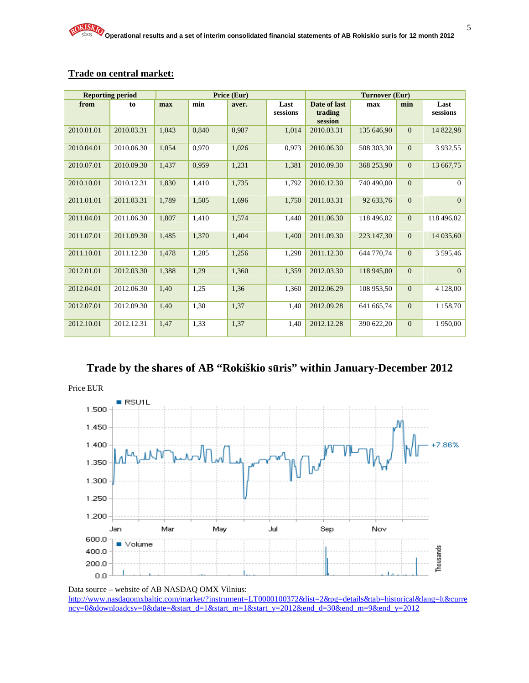|            | <b>Reporting period</b> |       |       | Price (Eur) |                  |                                    | Turnover (Eur) |                |                  |
|------------|-------------------------|-------|-------|-------------|------------------|------------------------------------|----------------|----------------|------------------|
| from       | to                      | max   | min   | aver.       | Last<br>sessions | Date of last<br>trading<br>session | max            | min            | Last<br>sessions |
| 2010.01.01 | 2010.03.31              | 1.043 | 0,840 | 0,987       | 1.014            | 2010.03.31                         | 135 646.90     | $\overline{0}$ | 14 822,98        |
| 2010.04.01 | 2010.06.30              | 1,054 | 0,970 | 1,026       | 0,973            | 2010.06.30                         | 508 303,30     | $\overline{0}$ | 3 9 3 2, 5 5     |
| 2010.07.01 | 2010.09.30              | 1,437 | 0,959 | 1,231       | 1,381            | 2010.09.30                         | 368 253,90     | $\overline{0}$ | 13 667,75        |
| 2010.10.01 | 2010.12.31              | 1.830 | 1,410 | 1,735       | 1,792            | 2010.12.30                         | 740 490,00     | $\overline{0}$ | $\overline{0}$   |
| 2011.01.01 | 2011.03.31              | 1,789 | 1,505 | 1,696       | 1,750            | 2011.03.31                         | 92 633.76      | $\overline{0}$ | $\overline{0}$   |
| 2011.04.01 | 2011.06.30              | 1.807 | 1,410 | 1,574       | 1,440            | 2011.06.30                         | 118 496.02     | $\overline{0}$ | 118 496,02       |
| 2011.07.01 | 2011.09.30              | 1,485 | 1,370 | 1,404       | 1,400            | 2011.09.30                         | 223.147,30     | $\Omega$       | 14 035,60        |
| 2011.10.01 | 2011.12.30              | 1,478 | 1,205 | 1,256       | 1,298            | 2011.12.30                         | 644 770.74     | $\overline{0}$ | 3 595,46         |
| 2012.01.01 | 2012.03.30              | 1,388 | 1,29  | 1,360       | 1,359            | 2012.03.30                         | 118 945,00     | $\overline{0}$ | $\Omega$         |
| 2012.04.01 | 2012.06.30              | 1,40  | 1,25  | 1,36        | 1,360            | 2012.06.29                         | 108 953.50     | $\mathbf{0}$   | 4 128,00         |
| 2012.07.01 | 2012.09.30              | 1,40  | 1,30  | 1,37        | 1,40             | 2012.09.28                         | 641 665.74     | $\overline{0}$ | 1 1 58,70        |
| 2012.10.01 | 2012.12.31              | 1,47  | 1,33  | 1,37        | 1,40             | 2012.12.28                         | 390 622,20     | $\mathbf{0}$   | 1950,00          |

#### **Trade on central market:**

## **Trade by the shares of AB "Rokiškio s**ū**ris" within January-December 2012**



Data source – website of AB NASDAQ OMX Vilnius: http://www.nasdaqomxbaltic.com/market/?instrument=LT0000100372&list=2&pg=details&tab=historical&lang=lt&curre ncy=0&downloadcsv=0&date=&start\_d=1&start\_m=1&start\_y=2012&end\_d=30&end\_m=9&end\_y=2012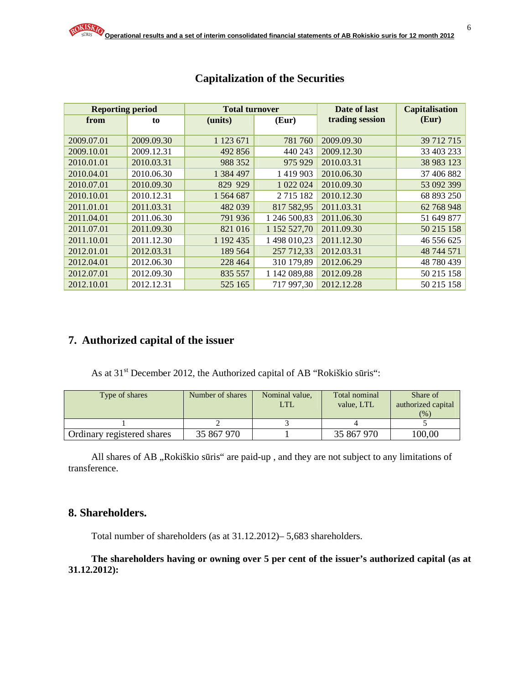| <b>Reporting period</b> |            | <b>Total turnover</b> |              | Date of last    | <b>Capitalisation</b> |
|-------------------------|------------|-----------------------|--------------|-----------------|-----------------------|
| from                    | to         | (units)               | (Eur)        | trading session | (Eur)                 |
|                         |            |                       |              |                 |                       |
| 2009.07.01              | 2009.09.30 | 1 1 2 3 6 7 1         | 781 760      | 2009.09.30      | 39 712 715            |
| 2009.10.01              | 2009.12.31 | 492 856               | 440 243      | 2009.12.30      | 33 403 233            |
| 2010.01.01              | 2010.03.31 | 988 352               | 975 929      | 2010.03.31      | 38 983 123            |
| 2010.04.01              | 2010.06.30 | 1 384 497             | 1 419 903    | 2010.06.30      | 37 406 882            |
| 2010.07.01              | 2010.09.30 | 829 929               | 1 022 024    | 2010.09.30      | 53 092 399            |
| 2010.10.01              | 2010.12.31 | 1 564 687             | 2715182      | 2010.12.30      | 68 893 250            |
| 2011.01.01              | 2011.03.31 | 482 039               | 817 582,95   | 2011.03.31      | 62 768 948            |
| 2011.04.01              | 2011.06.30 | 791 936               | 1 246 500,83 | 2011.06.30      | 51 649 877            |
| 2011.07.01              | 2011.09.30 | 821 016               | 1 152 527,70 | 2011.09.30      | 50 215 158            |
| 2011.10.01              | 2011.12.30 | 1 192 435             | 1498 010,23  | 2011.12.30      | 46 556 625            |
| 2012.01.01              | 2012.03.31 | 189 564               | 257 712,33   | 2012.03.31      | 48 744 571            |
| 2012.04.01              | 2012.06.30 | 228 464               | 310 179,89   | 2012.06.29      | 48 780 439            |
| 2012.07.01              | 2012.09.30 | 835 557               | 1 142 089,88 | 2012.09.28      | 50 215 158            |
| 2012.10.01              | 2012.12.31 | 525 165               | 717 997,30   | 2012.12.28      | 50 215 158            |

## **Capitalization of the Securities**

## **7. Authorized capital of the issuer**

As at 31<sup>st</sup> December 2012, the Authorized capital of AB "Rokiškio sūris":

| Type of shares             | Number of shares | Nominal value,<br>LTI. | Total nominal<br>value. LTL | Share of<br>authorized capital<br>(%) |
|----------------------------|------------------|------------------------|-----------------------------|---------------------------------------|
|                            |                  |                        |                             |                                       |
| Ordinary registered shares | 35 867 970       |                        | 35 867 970                  | 100,00                                |

All shares of AB "Rokiškio sūris" are paid-up, and they are not subject to any limitations of transference.

## **8. Shareholders.**

Total number of shareholders (as at 31.12.2012)– 5,683 shareholders.

**The shareholders having or owning over 5 per cent of the issuer's authorized capital (as at 31.12.2012):**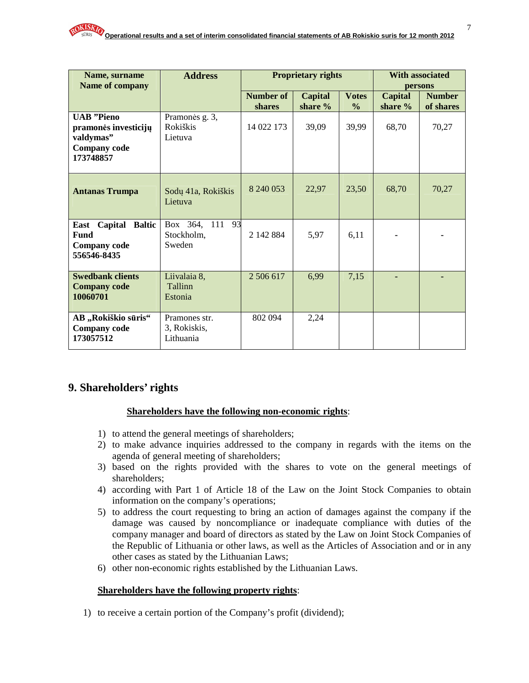| Name, surname<br>Name of company                                                           | <b>Address</b>                             |                            | <b>Proprietary rights</b> | <b>With associated</b><br>persons |                           |                            |
|--------------------------------------------------------------------------------------------|--------------------------------------------|----------------------------|---------------------------|-----------------------------------|---------------------------|----------------------------|
|                                                                                            |                                            | <b>Number of</b><br>shares | <b>Capital</b><br>share % | <b>Votes</b><br>$\frac{0}{0}$     | <b>Capital</b><br>share % | <b>Number</b><br>of shares |
| <b>UAB</b> "Pieno<br>pramonės investicijų<br>valdymas"<br><b>Company</b> code<br>173748857 | Pramonės g. 3,<br>Rokiškis<br>Lietuva      | 14 022 173                 | 39,09                     | 39,99                             | 68,70                     | 70,27                      |
| <b>Antanas Trumpa</b>                                                                      | Sodų 41a, Rokiškis<br>Lietuva              | 8 240 053                  | 22,97                     | 23,50                             | 68,70                     | 70,27                      |
| Capital Baltic<br>East<br><b>Fund</b><br><b>Company code</b><br>556546-8435                | Box 364, 111<br>93<br>Stockholm.<br>Sweden | 2 142 884                  | 5,97                      | 6,11                              |                           |                            |
| <b>Swedbank clients</b><br><b>Company code</b><br>10060701                                 | Liivalaia 8,<br>Tallinn<br>Estonia         | 2 506 617                  | 6,99                      | 7,15                              |                           |                            |
| AB "Rokiškio sūris"<br><b>Company</b> code<br>173057512                                    | Pramones str.<br>3, Rokiskis,<br>Lithuania | 802 094                    | 2,24                      |                                   |                           |                            |

## **9. Shareholders' rights**

#### **Shareholders have the following non-economic rights**:

- 1) to attend the general meetings of shareholders;
- 2) to make advance inquiries addressed to the company in regards with the items on the agenda of general meeting of shareholders;
- 3) based on the rights provided with the shares to vote on the general meetings of shareholders;
- 4) according with Part 1 of Article 18 of the Law on the Joint Stock Companies to obtain information on the company's operations;
- 5) to address the court requesting to bring an action of damages against the company if the damage was caused by noncompliance or inadequate compliance with duties of the company manager and board of directors as stated by the Law on Joint Stock Companies of the Republic of Lithuania or other laws, as well as the Articles of Association and or in any other cases as stated by the Lithuanian Laws;
- 6) other non-economic rights established by the Lithuanian Laws.

#### **Shareholders have the following property rights**:

1) to receive a certain portion of the Company's profit (dividend);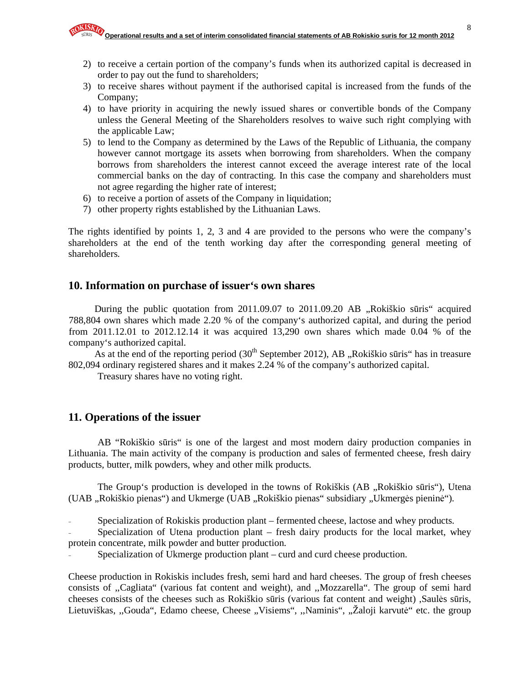- 2) to receive a certain portion of the company's funds when its authorized capital is decreased in order to pay out the fund to shareholders;
- 3) to receive shares without payment if the authorised capital is increased from the funds of the Company;
- 4) to have priority in acquiring the newly issued shares or convertible bonds of the Company unless the General Meeting of the Shareholders resolves to waive such right complying with the applicable Law;
- 5) to lend to the Company as determined by the Laws of the Republic of Lithuania, the company however cannot mortgage its assets when borrowing from shareholders. When the company borrows from shareholders the interest cannot exceed the average interest rate of the local commercial banks on the day of contracting. In this case the company and shareholders must not agree regarding the higher rate of interest;
- 6) to receive a portion of assets of the Company in liquidation;
- 7) other property rights established by the Lithuanian Laws.

The rights identified by points 1, 2, 3 and 4 are provided to the persons who were the company's shareholders at the end of the tenth working day after the corresponding general meeting of shareholders.

## **10. Information on purchase of issuer's own shares**

During the public quotation from  $2011.09.07$  to  $2011.09.20$  AB  $\alpha$ , Rokiškio sūris" acquired 788,804 own shares which made 2.20 % of the company's authorized capital, and during the period from 2011.12.01 to 2012.12.14 it was acquired 13,290 own shares which made 0.04 % of the company's authorized capital.

As at the end of the reporting period  $(30<sup>th</sup>$  September 2012), AB "Rokiškio sūris" has in treasure 802,094 ordinary registered shares and it makes 2.24 % of the company's authorized capital.

Treasury shares have no voting right.

### **11. Operations of the issuer**

AB "Rokiškio sūris" is one of the largest and most modern dairy production companies in Lithuania. The main activity of the company is production and sales of fermented cheese, fresh dairy products, butter, milk powders, whey and other milk products.

The Group's production is developed in the towns of Rokiškis (AB , Rokiškio sūris"), Utena (UAB "Rokiškio pienas") and Ukmerge (UAB "Rokiškio pienas" subsidiary "Ukmergės pieninė").

Specialization of Rokiskis production plant – fermented cheese, lactose and whey products.

Specialization of Utena production plant – fresh dairy products for the local market, whey protein concentrate, milk powder and butter production.

Specialization of Ukmerge production plant – curd and curd cheese production.

Cheese production in Rokiskis includes fresh, semi hard and hard cheeses. The group of fresh cheeses consists of ,,Cagliata" (various fat content and weight), and ,,Mozzarella". The group of semi hard cheeses consists of the cheeses such as Rokiškio sūris (various fat content and weight) ,Saulės sūris, Lietuviškas, "Gouda", Edamo cheese, Cheese "Visiems", "Naminis", "Žaloji karvutė" etc. the group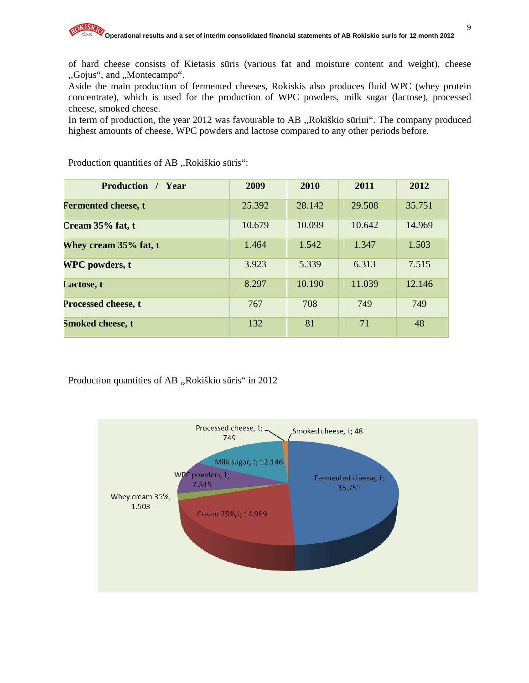of hard cheese consists of Kietasis sūris (various fat and moisture content and weight), cheese ,,Gojus", and ,,Montecampo".

Aside the main production of fermented cheeses, Rokiskis also produces fluid WPC (whey protein concentrate), which is used for the production of WPC powders, milk sugar (lactose), processed cheese, smoked cheese.

In term of production, the year 2012 was favourable to AB ,,Rokiškio sūriui". The company produced highest amounts of cheese, WPC powders and lactose compared to any other periods before.

| <b>Production</b> / Year   | 2009   | 2010   | 2011   | 2012   |
|----------------------------|--------|--------|--------|--------|
| <b>Fermented cheese, t</b> | 25.392 | 28.142 | 29.508 | 35.751 |
| Cream $35%$ fat, t         | 10.679 | 10.099 | 10.642 | 14.969 |
| Whey cream 35% fat, t      | 1.464  | 1.542  | 1.347  | 1.503  |
| <b>WPC</b> powders, t      | 3.923  | 5.339  | 6.313  | 7.515  |
| Lactose, t                 | 8.297  | 10.190 | 11.039 | 12.146 |
| Processed cheese, t        | 767    | 708    | 749    | 749    |
| Smoked cheese, t           | 132    | 81     | 71     | 48     |

Production quantities of AB ,,Rokiškio sūris":

Production quantities of AB ,,Rokiškio sūris" in 2012

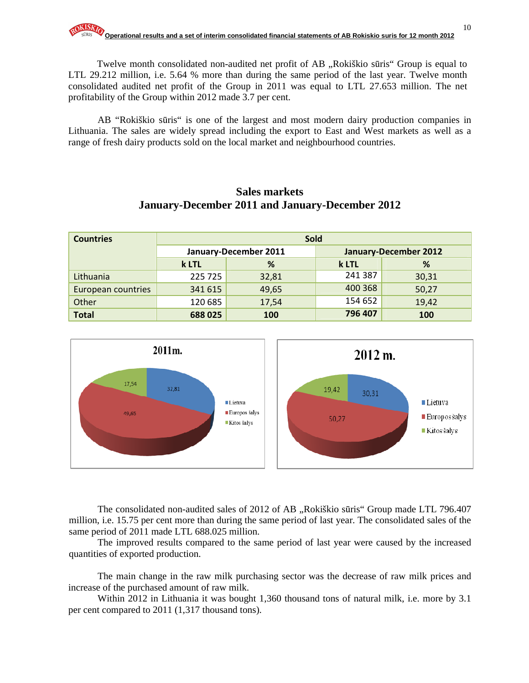Twelve month consolidated non-audited net profit of AB "Rokiškio sūris" Group is equal to LTL 29.212 million, i.e. 5.64 % more than during the same period of the last year. Twelve month consolidated audited net profit of the Group in 2011 was equal to LTL 27.653 million. The net profitability of the Group within 2012 made 3.7 per cent.

AB "Rokiškio sūris" is one of the largest and most modern dairy production companies in Lithuania. The sales are widely spread including the export to East and West markets as well as a range of fresh dairy products sold on the local market and neighbourhood countries.

# **Sales markets January-December 2011 and January-December 2012**

| <b>Countries</b>   | <b>Sold</b> |                       |         |                              |  |  |
|--------------------|-------------|-----------------------|---------|------------------------------|--|--|
|                    |             | January-December 2011 |         | <b>January-December 2012</b> |  |  |
|                    | k LTL       | %                     | k LTL   | %                            |  |  |
| Lithuania          | 225 725     | 32,81                 | 241 387 | 30,31                        |  |  |
| European countries | 341 615     | 49,65                 | 400 368 | 50,27                        |  |  |
| Other              | 120 685     | 17,54                 | 154 652 | 19,42                        |  |  |
| <b>Total</b>       | 688025      | 100                   | 796 407 | 100                          |  |  |



The consolidated non-audited sales of 2012 of AB, Rokiškio sūris Group made LTL 796.407 million, i.e. 15.75 per cent more than during the same period of last year. The consolidated sales of the same period of 2011 made LTL 688.025 million.

The improved results compared to the same period of last year were caused by the increased quantities of exported production.

The main change in the raw milk purchasing sector was the decrease of raw milk prices and increase of the purchased amount of raw milk.

Within 2012 in Lithuania it was bought 1,360 thousand tons of natural milk, i.e. more by 3.1 per cent compared to 2011 (1,317 thousand tons).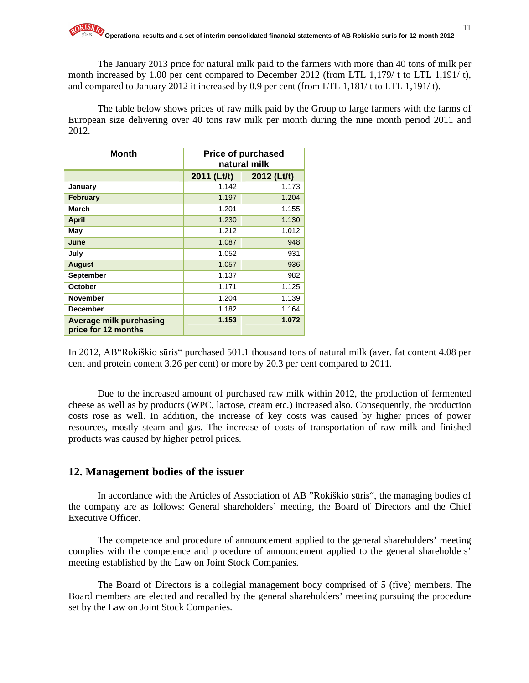The January 2013 price for natural milk paid to the farmers with more than 40 tons of milk per month increased by 1.00 per cent compared to December 2012 (from LTL 1,179/ t to LTL 1,191/ t), and compared to January 2012 it increased by 0.9 per cent (from LTL 1,181/ t to LTL 1,191/ t).

The table below shows prices of raw milk paid by the Group to large farmers with the farms of European size delivering over 40 tons raw milk per month during the nine month period 2011 and 2012.

| <b>Month</b>                                   | <b>Price of purchased</b><br>natural milk |             |  |
|------------------------------------------------|-------------------------------------------|-------------|--|
|                                                | 2011 (Lt/t)                               | 2012 (Lt/t) |  |
| January                                        | 1.142                                     | 1.173       |  |
| February                                       | 1.197                                     | 1.204       |  |
| March                                          | 1.201                                     | 1.155       |  |
| <b>April</b>                                   | 1.230                                     | 1.130       |  |
| May                                            | 1.212                                     | 1.012       |  |
| June                                           | 1.087                                     | 948         |  |
| July                                           | 1.052                                     | 931         |  |
| <b>August</b>                                  | 1.057                                     | 936         |  |
| September                                      | 1.137                                     | 982         |  |
| October                                        | 1.171                                     | 1.125       |  |
| <b>November</b>                                | 1.204                                     | 1.139       |  |
| <b>December</b>                                | 1.182                                     | 1.164       |  |
| Average milk purchasing<br>price for 12 months | 1.153                                     | 1.072       |  |

In 2012, AB"Rokiškio sūris" purchased 501.1 thousand tons of natural milk (aver. fat content 4.08 per cent and protein content 3.26 per cent) or more by 20.3 per cent compared to 2011.

Due to the increased amount of purchased raw milk within 2012, the production of fermented cheese as well as by products (WPC, lactose, cream etc.) increased also. Consequently, the production costs rose as well. In addition, the increase of key costs was caused by higher prices of power resources, mostly steam and gas. The increase of costs of transportation of raw milk and finished products was caused by higher petrol prices.

#### **12. Management bodies of the issuer**

In accordance with the Articles of Association of AB "Rokiškio sūris", the managing bodies of the company are as follows: General shareholders' meeting, the Board of Directors and the Chief Executive Officer.

The competence and procedure of announcement applied to the general shareholders' meeting complies with the competence and procedure of announcement applied to the general shareholders' meeting established by the Law on Joint Stock Companies.

The Board of Directors is a collegial management body comprised of 5 (five) members. The Board members are elected and recalled by the general shareholders' meeting pursuing the procedure set by the Law on Joint Stock Companies.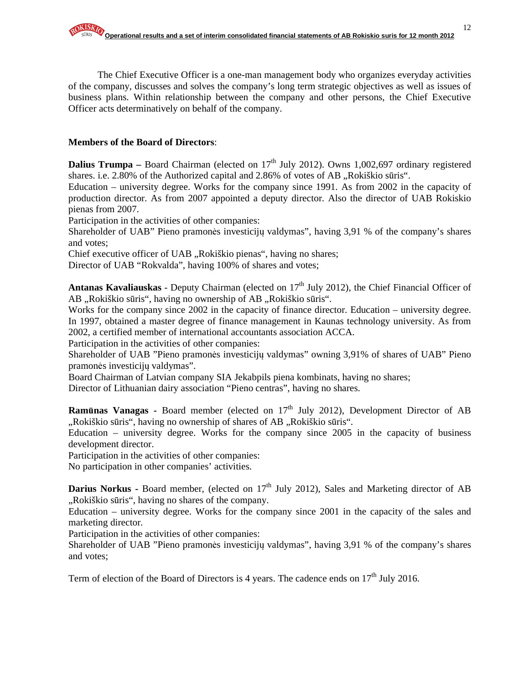The Chief Executive Officer is a one-man management body who organizes everyday activities of the company, discusses and solves the company's long term strategic objectives as well as issues of business plans. Within relationship between the company and other persons, the Chief Executive Officer acts determinatively on behalf of the company.

#### **Members of the Board of Directors**:

**Dalius Trumpa** – Board Chairman (elected on  $17<sup>th</sup>$  July 2012). Owns 1,002,697 ordinary registered shares. i.e.  $2.80\%$  of the Authorized capital and  $2.86\%$  of votes of AB "Rokiškio sūris".

Education – university degree. Works for the company since 1991. As from 2002 in the capacity of production director. As from 2007 appointed a deputy director. Also the director of UAB Rokiskio pienas from 2007.

Participation in the activities of other companies:

Shareholder of UAB" Pieno pramonės investicijų valdymas", having 3,91 % of the company's shares and votes;

Chief executive officer of UAB "Rokiškio pienas", having no shares;

Director of UAB "Rokvalda", having 100% of shares and votes;

Antanas Kavaliauskas - Deputy Chairman (elected on 17<sup>th</sup> July 2012), the Chief Financial Officer of AB "Rokiškio sūris", having no ownership of AB "Rokiškio sūris".

Works for the company since 2002 in the capacity of finance director. Education – university degree. In 1997, obtained a master degree of finance management in Kaunas technology university. As from 2002, a certified member of international accountants association ACCA.

Participation in the activities of other companies:

Shareholder of UAB "Pieno pramonės investicijų valdymas" owning 3,91% of shares of UAB" Pieno pramonės investicijų valdymas".

Board Chairman of Latvian company SIA Jekabpils piena kombinats, having no shares;

Director of Lithuanian dairy association "Pieno centras", having no shares.

**Ramūnas Vanagas -** Board member (elected on 17<sup>th</sup> July 2012), Development Director of AB ",Rokiškio sūris", having no ownership of shares of AB "Rokiškio sūris".

Education – university degree. Works for the company since 2005 in the capacity of business development director.

Participation in the activities of other companies:

No participation in other companies' activities.

**Darius Norkus - Board member, (elected on 17<sup>th</sup> July 2012), Sales and Marketing director of AB** "Rokiškio sūris", having no shares of the company.

Education – university degree. Works for the company since 2001 in the capacity of the sales and marketing director.

Participation in the activities of other companies:

Shareholder of UAB "Pieno pramonės investicijų valdymas", having 3,91 % of the company's shares and votes;

Term of election of the Board of Directors is 4 years. The cadence ends on  $17<sup>th</sup>$  July 2016.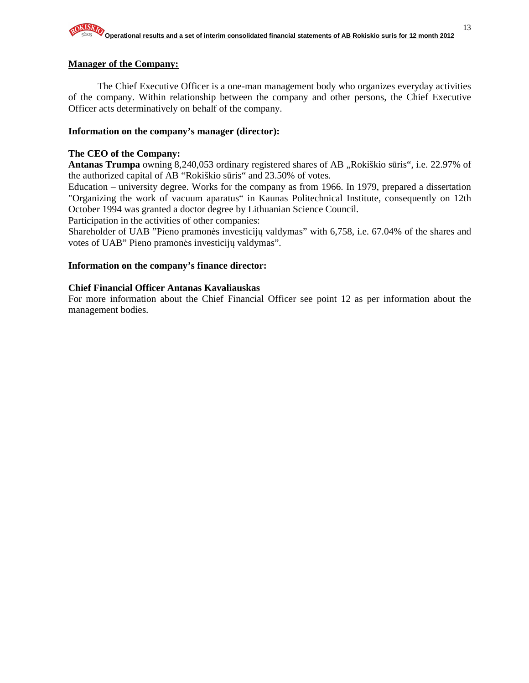#### **Manager of the Company:**

The Chief Executive Officer is a one-man management body who organizes everyday activities of the company. Within relationship between the company and other persons, the Chief Executive Officer acts determinatively on behalf of the company.

#### **Information on the company's manager (director):**

#### **The CEO of the Company:**

Antanas Trumpa owning 8,240,053 ordinary registered shares of AB "Rokiškio sūris", i.e. 22.97% of the authorized capital of AB "Rokiškio sūris" and 23.50% of votes.

Education – university degree. Works for the company as from 1966. In 1979, prepared a dissertation "Organizing the work of vacuum aparatus" in Kaunas Politechnical Institute, consequently on 12th October 1994 was granted a doctor degree by Lithuanian Science Council.

Participation in the activities of other companies:

Shareholder of UAB "Pieno pramonės investicijų valdymas" with 6,758, i.e. 67.04% of the shares and votes of UAB" Pieno pramonės investicijų valdymas".

#### **Information on the company's finance director:**

#### **Chief Financial Officer Antanas Kavaliauskas**

For more information about the Chief Financial Officer see point 12 as per information about the management bodies.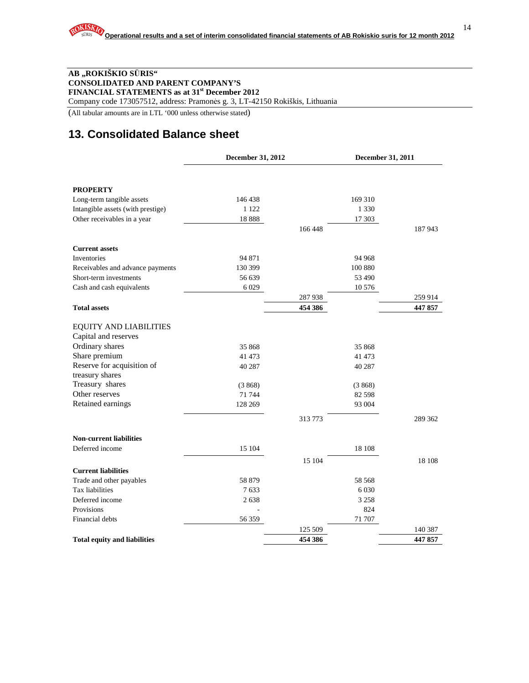#### **AB "ROKIŠKIO S**Ū**RIS" CONSOLIDATED AND PARENT COMPANY'S FINANCIAL STATEMENTS as at 31st December 2012**

Company code 173057512, address: Pramonės g. 3, LT-42150 Rokiškis, Lithuania

(All tabular amounts are in LTL '000 unless otherwise stated)

## **13. Consolidated Balance sheet**

|                                     | December 31, 2012 |         | December 31, 2011 |         |
|-------------------------------------|-------------------|---------|-------------------|---------|
|                                     |                   |         |                   |         |
| <b>PROPERTY</b>                     |                   |         |                   |         |
| Long-term tangible assets           | 146 438           |         | 169 310           |         |
| Intangible assets (with prestige)   | 1 1 2 2           |         | 1 3 3 0           |         |
| Other receivables in a year         | 18888             |         | 17 303            |         |
|                                     |                   | 166448  |                   | 187 943 |
| <b>Current assets</b>               |                   |         |                   |         |
| Inventories                         | 94 871            |         | 94 968            |         |
| Receivables and advance payments    | 130 399           |         | 100 880           |         |
| Short-term investments              | 56 639            |         | 53 490            |         |
| Cash and cash equivalents           | 6 0 29            |         | 10 576            |         |
|                                     |                   | 287 938 |                   | 259 914 |
| <b>Total assets</b>                 |                   | 454 386 |                   | 447 857 |
| <b>EQUITY AND LIABILITIES</b>       |                   |         |                   |         |
| Capital and reserves                |                   |         |                   |         |
| Ordinary shares                     | 35 868            |         | 35 868            |         |
| Share premium                       | 41 473            |         | 41 473            |         |
| Reserve for acquisition of          | 40 287            |         | 40 287            |         |
| treasury shares                     |                   |         |                   |         |
| Treasury shares                     | (3868)            |         | (3868)            |         |
| Other reserves                      | 71 744            |         | 82 5 98           |         |
| Retained earnings                   | 128 269           |         | 93 004            |         |
|                                     |                   | 313 773 |                   | 289 362 |
| <b>Non-current liabilities</b>      |                   |         |                   |         |
| Deferred income                     | 15 104            |         | 18 10 8           |         |
|                                     |                   | 15 104  |                   | 18 108  |
| <b>Current liabilities</b>          |                   |         |                   |         |
| Trade and other payables            | 58 879            |         | 58 568            |         |
| Tax liabilities                     | 7633              |         | 6 0 3 0           |         |
| Deferred income                     | 2638              |         | 3 2 5 8           |         |
| Provisions                          |                   |         | 824               |         |
| Financial debts                     | 56 359            |         | 71 707            |         |
|                                     |                   | 125 509 |                   | 140 387 |
| <b>Total equity and liabilities</b> |                   | 454 386 |                   | 447857  |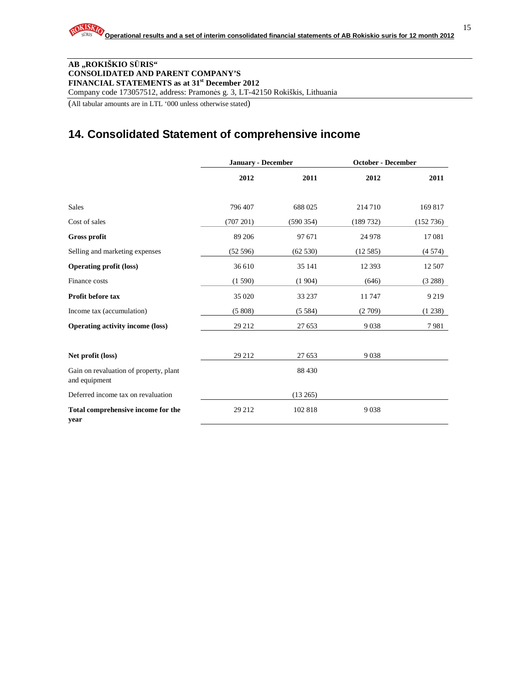#### **AB "ROKIŠKIO S**Ū**RIS" CONSOLIDATED AND PARENT COMPANY'S FINANCIAL STATEMENTS as at 31st December 2012**

Company code 173057512, address: Pramonės g. 3, LT-42150 Rokiškis, Lithuania

(All tabular amounts are in LTL '000 unless otherwise stated)

## **14. Consolidated Statement of comprehensive income**

|                                                         | <b>January - December</b> |          | <b>October - December</b> |           |
|---------------------------------------------------------|---------------------------|----------|---------------------------|-----------|
|                                                         | 2012                      | 2011     | 2012                      | 2011      |
| <b>Sales</b>                                            | 796 407                   | 688 025  | 214 710                   | 169817    |
| Cost of sales                                           | (707 201)                 | (590354) | (189732)                  | (152 736) |
| <b>Gross profit</b>                                     | 89 20 6                   | 97 671   | 24 978                    | 17081     |
| Selling and marketing expenses                          | (52596)                   | (62530)  | (12585)                   | (4574)    |
| <b>Operating profit (loss)</b>                          | 36 610                    | 35 141   | 12 3 93                   | 12 507    |
| Finance costs                                           | (1590)                    | (1904)   | (646)                     | (3 288)   |
| <b>Profit before tax</b>                                | 35 0 20                   | 33 237   | 11747                     | 9 2 1 9   |
| Income tax (accumulation)                               | (5808)                    | (5584)   | (2709)                    | (1238)    |
| <b>Operating activity income (loss)</b>                 | 29 21 2                   | 27 653   | 9038                      | 7981      |
| Net profit (loss)                                       | 29 21 2                   | 27 653   | 9038                      |           |
| Gain on revaluation of property, plant<br>and equipment |                           | 88 4 30  |                           |           |
| Deferred income tax on revaluation                      |                           | (13265)  |                           |           |
| Total comprehensive income for the<br>year              | 29 21 2                   | 102 818  | 9038                      |           |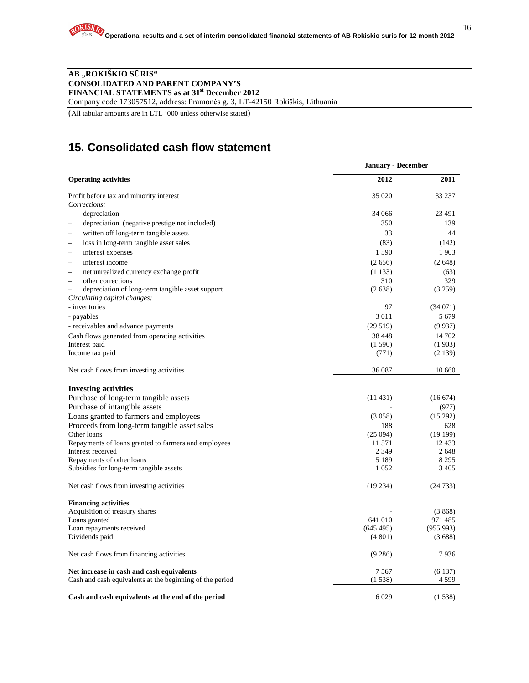#### **AB "ROKIŠKIO S**Ū**RIS" CONSOLIDATED AND PARENT COMPANY'S FINANCIAL STATEMENTS as at 31st December 2012**

Company code 173057512, address: Pramonės g. 3, LT-42150 Rokiškis, Lithuania

(All tabular amounts are in LTL '000 unless otherwise stated)

## **15. Consolidated cash flow statement**

|                                                                    | <b>January - December</b> |          |  |  |
|--------------------------------------------------------------------|---------------------------|----------|--|--|
| <b>Operating activities</b>                                        | 2012                      | 2011     |  |  |
| Profit before tax and minority interest                            | 35 0 20                   | 33 237   |  |  |
| Corrections:                                                       |                           |          |  |  |
| depreciation                                                       | 34 066                    | 23 4 91  |  |  |
| depreciation (negative prestige not included)                      | 350                       | 139      |  |  |
| written off long-term tangible assets<br>$\overline{\phantom{a}}$  | 33                        | 44       |  |  |
| loss in long-term tangible asset sales<br>$\overline{\phantom{a}}$ | (83)                      | (142)    |  |  |
| interest expenses                                                  | 1590                      | 1903     |  |  |
| interest income<br>$\overline{\phantom{a}}$                        | (2656)                    | (2648)   |  |  |
| net unrealized currency exchange profit<br>÷                       | (1133)                    | (63)     |  |  |
| other corrections<br>÷                                             | 310                       | 329      |  |  |
| depreciation of long-term tangible asset support                   | (2638)                    | (3 259)  |  |  |
| Circulating capital changes:                                       |                           |          |  |  |
| - inventories                                                      | 97                        | (34071)  |  |  |
| - payables                                                         | 3 0 1 1                   | 5 6 7 9  |  |  |
| - receivables and advance payments                                 | (29519)                   | (9937)   |  |  |
| Cash flows generated from operating activities                     | 38 4 48                   | 14 702   |  |  |
| Interest paid                                                      | (1590)                    | (1903)   |  |  |
| Income tax paid                                                    | (771)                     | (2139)   |  |  |
| Net cash flows from investing activities                           | 36 0 87                   | 10 660   |  |  |
|                                                                    |                           |          |  |  |
| <b>Investing activities</b>                                        |                           |          |  |  |
| Purchase of long-term tangible assets                              | (11431)                   | (16674)  |  |  |
| Purchase of intangible assets                                      |                           | (977)    |  |  |
| Loans granted to farmers and employees                             | (3.058)                   | (15292)  |  |  |
| Proceeds from long-term tangible asset sales                       | 188                       | 628      |  |  |
| Other loans                                                        | (25094)                   | (19199)  |  |  |
| Repayments of loans granted to farmers and employees               | 11 571                    | 12433    |  |  |
| Interest received                                                  | 2 3 4 9                   | 2648     |  |  |
| Repayments of other loans                                          | 5 1 8 9                   | 8 2 9 5  |  |  |
| Subsidies for long-term tangible assets                            | 1 0 5 2                   | 3 4 0 5  |  |  |
| Net cash flows from investing activities                           | (19234)                   | (24733)  |  |  |
|                                                                    |                           |          |  |  |
| <b>Financing activities</b>                                        |                           |          |  |  |
| Acquisition of treasury shares                                     |                           | (3, 868) |  |  |
| Loans granted                                                      | 641 010                   | 971 485  |  |  |
| Loan repayments received                                           | (645495)                  | (955993) |  |  |
| Dividends paid                                                     | (4801)                    | (3688)   |  |  |
| Net cash flows from financing activities                           | (9286)                    | 7936     |  |  |
| Net increase in cash and cash equivalents                          | 7567                      | (6137)   |  |  |
| Cash and cash equivalents at the beginning of the period           | (1538)                    | 4 5 9 9  |  |  |
|                                                                    |                           |          |  |  |
| Cash and cash equivalents at the end of the period                 | 6029                      | (1538)   |  |  |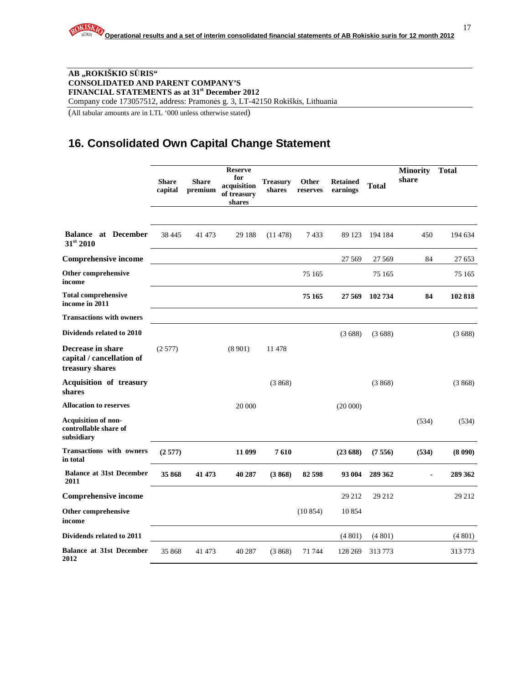#### **AB "ROKIŠKIO S**Ū**RIS" CONSOLIDATED AND PARENT COMPANY'S FINANCIAL STATEMENTS as at 31st December 2012**  Company code 173057512, address: Pramonės g. 3, LT-42150 Rokiškis, Lithuania

(All tabular amounts are in LTL '000 unless otherwise stated)

## **16. Consolidated Own Capital Change Statement**

|                                                                   | <b>Share</b><br>capital | <b>Share</b><br>premium | <b>Reserve</b><br>for<br>acquisition<br>of treasury<br>shares | <b>Treasury</b><br>shares | Other<br>reserves | <b>Retained</b><br>earnings | Total   | <b>Minority</b><br>share | <b>Total</b> |
|-------------------------------------------------------------------|-------------------------|-------------------------|---------------------------------------------------------------|---------------------------|-------------------|-----------------------------|---------|--------------------------|--------------|
| <b>Balance</b> at December<br>31st 2010                           | 38 4 45                 | 41 473                  | 29 188                                                        | (11478)                   | 7433              | 89 123                      | 194 184 | 450                      | 194 634      |
| <b>Comprehensive income</b>                                       |                         |                         |                                                               |                           |                   | 27 5 69                     | 27 5 69 | 84                       | 27 653       |
| Other comprehensive<br>income                                     |                         |                         |                                                               |                           | 75 165            |                             | 75 165  |                          | 75 165       |
| <b>Total comprehensive</b><br>income in 2011                      |                         |                         |                                                               |                           | 75 165            | 27 569                      | 102 734 | 84                       | 102 818      |
| <b>Transactions with owners</b>                                   |                         |                         |                                                               |                           |                   |                             |         |                          |              |
| Dividends related to 2010                                         |                         |                         |                                                               |                           |                   | (3688)                      | (3688)  |                          | (3688)       |
| Decrease in share<br>capital / cancellation of<br>treasury shares | (2577)                  |                         | (8901)                                                        | 11 478                    |                   |                             |         |                          |              |
| Acquisition of treasury<br>shares                                 |                         |                         |                                                               | (3868)                    |                   |                             | (3868)  |                          | (3868)       |
| <b>Allocation to reserves</b>                                     |                         |                         | 20 000                                                        |                           |                   | (20000)                     |         |                          |              |
| <b>Acquisition of non-</b><br>controllable share of<br>subsidiary |                         |                         |                                                               |                           |                   |                             |         | (534)                    | (534)        |
| <b>Transactions with owners</b><br>in total                       | (2577)                  |                         | 11 099                                                        | 7610                      |                   | (23688)                     | (7556)  | (534)                    | (8090)       |
| <b>Balance at 31st December</b><br>2011                           | 35 868                  | 41 473                  | 40 287                                                        | (3868)                    | 82 598            | 93 004                      | 289 362 |                          | 289 362      |
| <b>Comprehensive income</b>                                       |                         |                         |                                                               |                           |                   | 29 212                      | 29 21 2 |                          | 29 21 2      |
| Other comprehensive<br>income                                     |                         |                         |                                                               |                           | (10854)           | 10854                       |         |                          |              |
| Dividends related to 2011                                         |                         |                         |                                                               |                           |                   | (4801)                      | (4801)  |                          | (4801)       |
| <b>Balance at 31st December</b><br>2012                           | 35 868                  | 41 473                  | 40 287                                                        | (3868)                    | 71 744            | 128 269                     | 313773  |                          | 313773       |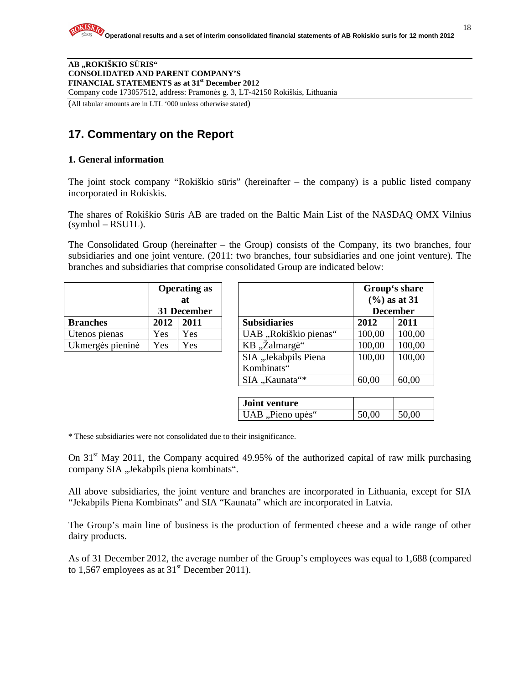**AB "ROKIŠKIO S**Ū**RIS" CONSOLIDATED AND PARENT COMPANY'S FINANCIAL STATEMENTS as at 31st December 2012**  Company code 173057512, address: Pramonės g. 3, LT-42150 Rokiškis, Lithuania

(All tabular amounts are in LTL '000 unless otherwise stated)

## **17. Commentary on the Report**

#### **1. General information**

The joint stock company "Rokiškio sūris" (hereinafter – the company) is a public listed company incorporated in Rokiskis.

The shares of Rokiškio Sūris AB are traded on the Baltic Main List of the NASDAQ OMX Vilnius  $(symbol - RSU1L)$ .

The Consolidated Group (hereinafter – the Group) consists of the Company, its two branches, four subsidiaries and one joint venture. (2011: two branches, four subsidiaries and one joint venture). The branches and subsidiaries that comprise consolidated Group are indicated below:

|                  | <b>Operating as</b> |     |  |
|------------------|---------------------|-----|--|
|                  | at                  |     |  |
|                  | 31 December         |     |  |
| <b>Branches</b>  | 2012<br>2011        |     |  |
| Utenos pienas    | Yes                 | Yes |  |
| Ukmergės pieninė | Yes                 | Yes |  |

|                  | <b>Operating as</b> |                   |                       |        | Group's share                               |
|------------------|---------------------|-------------------|-----------------------|--------|---------------------------------------------|
|                  |                     | at<br>31 December |                       |        | $(\frac{6}{6})$ as at 31<br><b>December</b> |
| <b>Branches</b>  | 2012                | 2011              | <b>Subsidiaries</b>   | 2012   | 2011                                        |
| Utenos pienas    | Yes                 | Yes               | UAB "Rokiškio pienas" | 100,00 | 100,00                                      |
| Ukmergės pieninė | Yes                 | Yes               | KB, Zalmargė"         | 100,00 | 100,00                                      |
|                  |                     |                   | SIA "Jekabpils Piena  | 100,00 | 100,00                                      |
|                  |                     |                   | Kombinats"            |        |                                             |
|                  |                     |                   | SIA "Kaunata"*        | 60,00  | 60,00                                       |

| <b>Joint venture</b> |       |       |
|----------------------|-------|-------|
| UAB, Pieno upės"     | 50,00 | 50,00 |

\* These subsidiaries were not consolidated due to their insignificance.

On  $31<sup>st</sup>$  May 2011, the Company acquired 49.95% of the authorized capital of raw milk purchasing company SIA "Jekabpils piena kombinats".

All above subsidiaries, the joint venture and branches are incorporated in Lithuania, except for SIA "Jekabpils Piena Kombinats" and SIA "Kaunata" which are incorporated in Latvia.

The Group's main line of business is the production of fermented cheese and a wide range of other dairy products.

As of 31 December 2012, the average number of the Group's employees was equal to 1,688 (compared to 1,567 employees as at  $31<sup>st</sup>$  December 2011).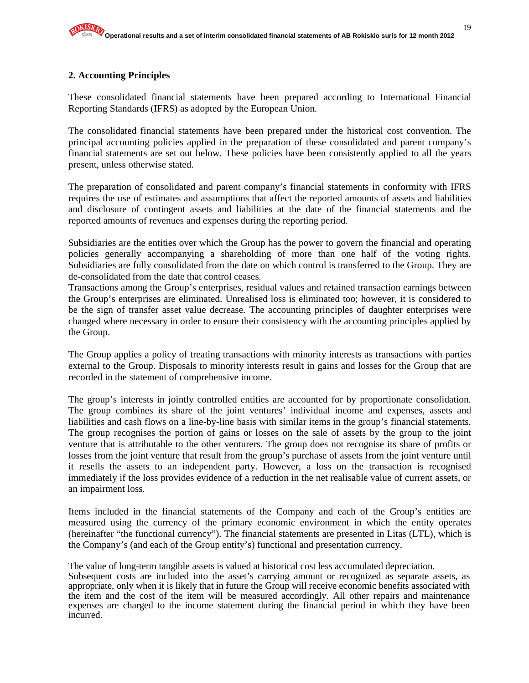#### **2. Accounting Principles**

These consolidated financial statements have been prepared according to International Financial Reporting Standards (IFRS) as adopted by the European Union.

The consolidated financial statements have been prepared under the historical cost convention. The principal accounting policies applied in the preparation of these consolidated and parent company's financial statements are set out below. These policies have been consistently applied to all the years present, unless otherwise stated.

The preparation of consolidated and parent company's financial statements in conformity with IFRS requires the use of estimates and assumptions that affect the reported amounts of assets and liabilities and disclosure of contingent assets and liabilities at the date of the financial statements and the reported amounts of revenues and expenses during the reporting period.

Subsidiaries are the entities over which the Group has the power to govern the financial and operating policies generally accompanying a shareholding of more than one half of the voting rights. Subsidiaries are fully consolidated from the date on which control is transferred to the Group. They are de-consolidated from the date that control ceases.

Transactions among the Group's enterprises, residual values and retained transaction earnings between the Group's enterprises are eliminated. Unrealised loss is eliminated too; however, it is considered to be the sign of transfer asset value decrease. The accounting principles of daughter enterprises were changed where necessary in order to ensure their consistency with the accounting principles applied by the Group.

The Group applies a policy of treating transactions with minority interests as transactions with parties external to the Group. Disposals to minority interests result in gains and losses for the Group that are recorded in the statement of comprehensive income.

The group's interests in jointly controlled entities are accounted for by proportionate consolidation. The group combines its share of the joint ventures' individual income and expenses, assets and liabilities and cash flows on a line-by-line basis with similar items in the group's financial statements. The group recognises the portion of gains or losses on the sale of assets by the group to the joint venture that is attributable to the other venturers. The group does not recognise its share of profits or losses from the joint venture that result from the group's purchase of assets from the joint venture until it resells the assets to an independent party. However, a loss on the transaction is recognised immediately if the loss provides evidence of a reduction in the net realisable value of current assets, or an impairment loss.

Items included in the financial statements of the Company and each of the Group's entities are measured using the currency of the primary economic environment in which the entity operates (hereinafter "the functional currency"). The financial statements are presented in Litas (LTL), which is the Company's (and each of the Group entity's) functional and presentation currency.

The value of long-term tangible assets is valued at historical cost less accumulated depreciation.

Subsequent costs are included into the asset's carrying amount or recognized as separate assets, as appropriate, only when it is likely that in future the Group will receive economic benefits associated with the item and the cost of the item will be measured accordingly. All other repairs and maintenance expenses are charged to the income statement during the financial period in which they have been incurred.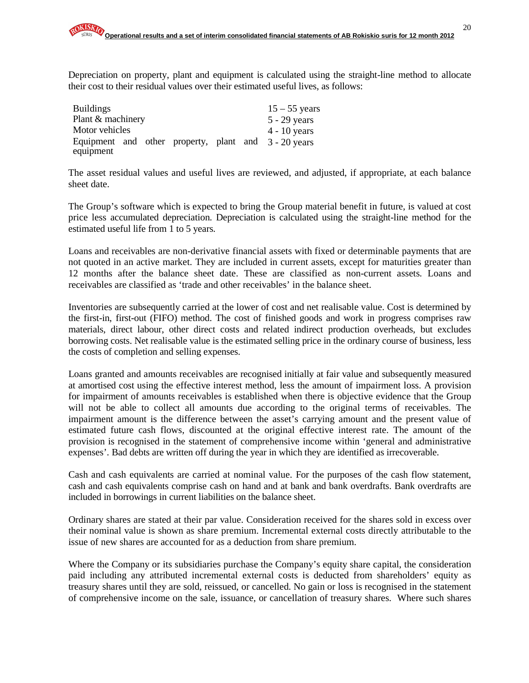Depreciation on property, plant and equipment is calculated using the straight-line method to allocate their cost to their residual values over their estimated useful lives, as follows:

| <b>Buildings</b>  |  |  | $15 - 55$ years                                      |
|-------------------|--|--|------------------------------------------------------|
| Plant & machinery |  |  | $5 - 29$ years                                       |
| Motor vehicles    |  |  | $4 - 10$ years                                       |
|                   |  |  | Equipment and other property, plant and 3 - 20 years |
| equipment         |  |  |                                                      |

The asset residual values and useful lives are reviewed, and adjusted, if appropriate, at each balance sheet date.

The Group's software which is expected to bring the Group material benefit in future, is valued at cost price less accumulated depreciation. Depreciation is calculated using the straight-line method for the estimated useful life from 1 to 5 years.

Loans and receivables are non-derivative financial assets with fixed or determinable payments that are not quoted in an active market. They are included in current assets, except for maturities greater than 12 months after the balance sheet date. These are classified as non-current assets. Loans and receivables are classified as 'trade and other receivables' in the balance sheet.

Inventories are subsequently carried at the lower of cost and net realisable value. Cost is determined by the first-in, first-out (FIFO) method. The cost of finished goods and work in progress comprises raw materials, direct labour, other direct costs and related indirect production overheads, but excludes borrowing costs. Net realisable value is the estimated selling price in the ordinary course of business, less the costs of completion and selling expenses.

Loans granted and amounts receivables are recognised initially at fair value and subsequently measured at amortised cost using the effective interest method, less the amount of impairment loss. A provision for impairment of amounts receivables is established when there is objective evidence that the Group will not be able to collect all amounts due according to the original terms of receivables. The impairment amount is the difference between the asset's carrying amount and the present value of estimated future cash flows, discounted at the original effective interest rate. The amount of the provision is recognised in the statement of comprehensive income within 'general and administrative expenses'. Bad debts are written off during the year in which they are identified as irrecoverable.

Cash and cash equivalents are carried at nominal value. For the purposes of the cash flow statement, cash and cash equivalents comprise cash on hand and at bank and bank overdrafts. Bank overdrafts are included in borrowings in current liabilities on the balance sheet.

Ordinary shares are stated at their par value. Consideration received for the shares sold in excess over their nominal value is shown as share premium. Incremental external costs directly attributable to the issue of new shares are accounted for as a deduction from share premium.

Where the Company or its subsidiaries purchase the Company's equity share capital, the consideration paid including any attributed incremental external costs is deducted from shareholders' equity as treasury shares until they are sold, reissued, or cancelled. No gain or loss is recognised in the statement of comprehensive income on the sale, issuance, or cancellation of treasury shares. Where such shares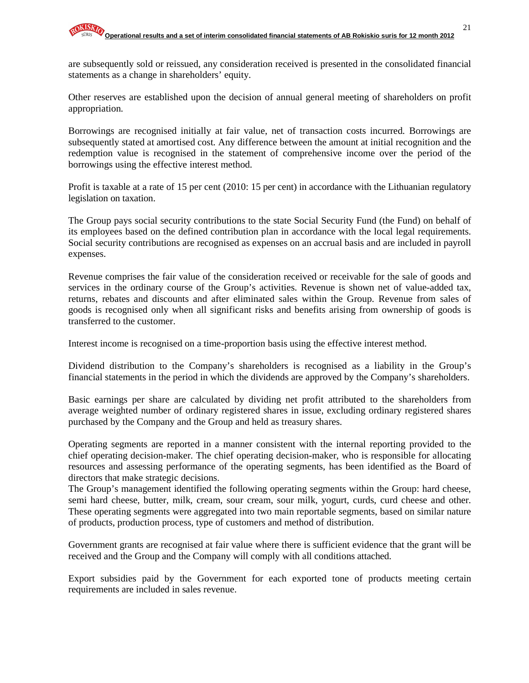are subsequently sold or reissued, any consideration received is presented in the consolidated financial statements as a change in shareholders' equity.

Other reserves are established upon the decision of annual general meeting of shareholders on profit appropriation.

Borrowings are recognised initially at fair value, net of transaction costs incurred. Borrowings are subsequently stated at amortised cost. Any difference between the amount at initial recognition and the redemption value is recognised in the statement of comprehensive income over the period of the borrowings using the effective interest method.

Profit is taxable at a rate of 15 per cent (2010: 15 per cent) in accordance with the Lithuanian regulatory legislation on taxation.

The Group pays social security contributions to the state Social Security Fund (the Fund) on behalf of its employees based on the defined contribution plan in accordance with the local legal requirements. Social security contributions are recognised as expenses on an accrual basis and are included in payroll expenses.

Revenue comprises the fair value of the consideration received or receivable for the sale of goods and services in the ordinary course of the Group's activities. Revenue is shown net of value-added tax, returns, rebates and discounts and after eliminated sales within the Group. Revenue from sales of goods is recognised only when all significant risks and benefits arising from ownership of goods is transferred to the customer.

Interest income is recognised on a time-proportion basis using the effective interest method.

Dividend distribution to the Company's shareholders is recognised as a liability in the Group's financial statements in the period in which the dividends are approved by the Company's shareholders.

Basic earnings per share are calculated by dividing net profit attributed to the shareholders from average weighted number of ordinary registered shares in issue, excluding ordinary registered shares purchased by the Company and the Group and held as treasury shares.

Operating segments are reported in a manner consistent with the internal reporting provided to the chief operating decision-maker. The chief operating decision-maker, who is responsible for allocating resources and assessing performance of the operating segments, has been identified as the Board of directors that make strategic decisions.

The Group's management identified the following operating segments within the Group: hard cheese, semi hard cheese, butter, milk, cream, sour cream, sour milk, yogurt, curds, curd cheese and other. These operating segments were aggregated into two main reportable segments, based on similar nature of products, production process, type of customers and method of distribution.

Government grants are recognised at fair value where there is sufficient evidence that the grant will be received and the Group and the Company will comply with all conditions attached.

Export subsidies paid by the Government for each exported tone of products meeting certain requirements are included in sales revenue.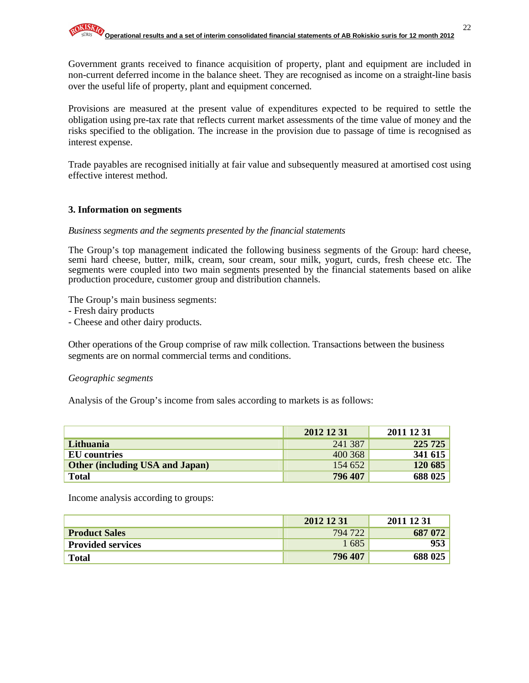Government grants received to finance acquisition of property, plant and equipment are included in non-current deferred income in the balance sheet. They are recognised as income on a straight-line basis over the useful life of property, plant and equipment concerned.

Provisions are measured at the present value of expenditures expected to be required to settle the obligation using pre-tax rate that reflects current market assessments of the time value of money and the risks specified to the obligation. The increase in the provision due to passage of time is recognised as interest expense.

Trade payables are recognised initially at fair value and subsequently measured at amortised cost using effective interest method.

#### **3. Information on segments**

#### *Business segments and the segments presented by the financial statements*

The Group's top management indicated the following business segments of the Group: hard cheese, semi hard cheese, butter, milk, cream, sour cream, sour milk, yogurt, curds, fresh cheese etc. The segments were coupled into two main segments presented by the financial statements based on alike production procedure, customer group and distribution channels.

The Group's main business segments:

- Fresh dairy products

- Cheese and other dairy products.

Other operations of the Group comprise of raw milk collection. Transactions between the business segments are on normal commercial terms and conditions.

#### *Geographic segments*

Analysis of the Group's income from sales according to markets is as follows:

|                                        | 2012 12 31 | 2011 12 31 |
|----------------------------------------|------------|------------|
| Lithuania                              | 241 387    | 225 725    |
| EU countries                           | 400 368    | 341 615    |
| <b>Other (including USA and Japan)</b> | 154 652    | 120 685    |
| <b>Total</b>                           | 796 407    | 688 025    |

Income analysis according to groups:

|                          | 2012 12 31 | 2011 12 31 |
|--------------------------|------------|------------|
| <b>Product Sales</b>     | 794 722    | 687 072    |
| <b>Provided services</b> | 1685       | 953        |
| <b>Total</b>             | 796 407    | 688 025    |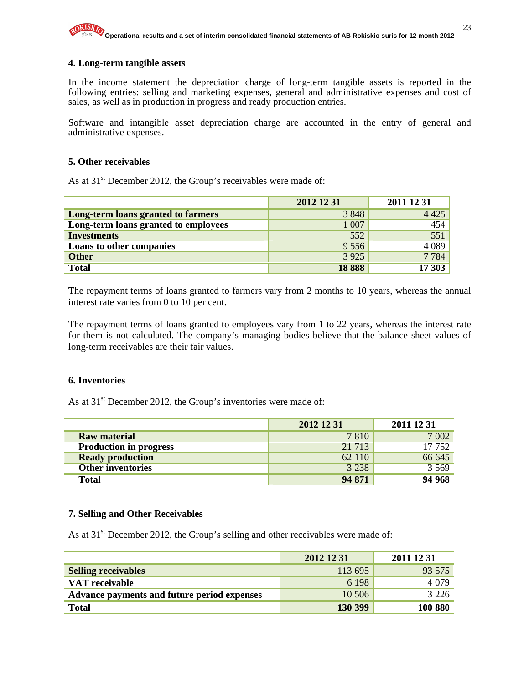#### **4. Long-term tangible assets**

In the income statement the depreciation charge of long-term tangible assets is reported in the following entries: selling and marketing expenses, general and administrative expenses and cost of sales, as well as in production in progress and ready production entries.

Software and intangible asset depreciation charge are accounted in the entry of general and administrative expenses.

#### **5. Other receivables**

As at 31<sup>st</sup> December 2012, the Group's receivables were made of:

|                                      | 2012 12 31 | 2011 12 31 |
|--------------------------------------|------------|------------|
| Long-term loans granted to farmers   | 3848       | 4 4 2 5    |
| Long-term loans granted to employees | 1 0 0 7    | 454        |
| <b>Investments</b>                   | 552        | 551        |
| Loans to other companies             | 9556       | 4 0 8 9    |
| <b>Other</b>                         | 3 9 2 5    | 7784       |
| <b>Total</b>                         | 18888      | 17 303     |

The repayment terms of loans granted to farmers vary from 2 months to 10 years, whereas the annual interest rate varies from 0 to 10 per cent.

The repayment terms of loans granted to employees vary from 1 to 22 years, whereas the interest rate for them is not calculated. The company's managing bodies believe that the balance sheet values of long-term receivables are their fair values.

#### **6. Inventories**

As at  $31<sup>st</sup>$  December 2012, the Group's inventories were made of:

|                               | 2012 12 31 | 2011 12 31 |
|-------------------------------|------------|------------|
| <b>Raw material</b>           | 7810       | 7 0 0 2    |
| <b>Production in progress</b> | 21 7 13    | 17752      |
| <b>Ready production</b>       | 62 110     | 66 645     |
| <b>Other inventories</b>      | 3 2 3 8    | 3 5 6 9    |
| <b>Total</b>                  | 94 871     | 94 968     |

#### **7. Selling and Other Receivables**

As at  $31<sup>st</sup>$  December 2012, the Group's selling and other receivables were made of:

|                                             | 2012 12 31 | 2011 12 31 |
|---------------------------------------------|------------|------------|
| <b>Selling receivables</b>                  | 113 695    | 93 575     |
| VAT receivable                              | 6 1 9 8    | 4 0 7 9    |
| Advance payments and future period expenses | 10 50 6    | 3 2 2 6    |
| <b>Total</b>                                | 130 399    | 100 880    |